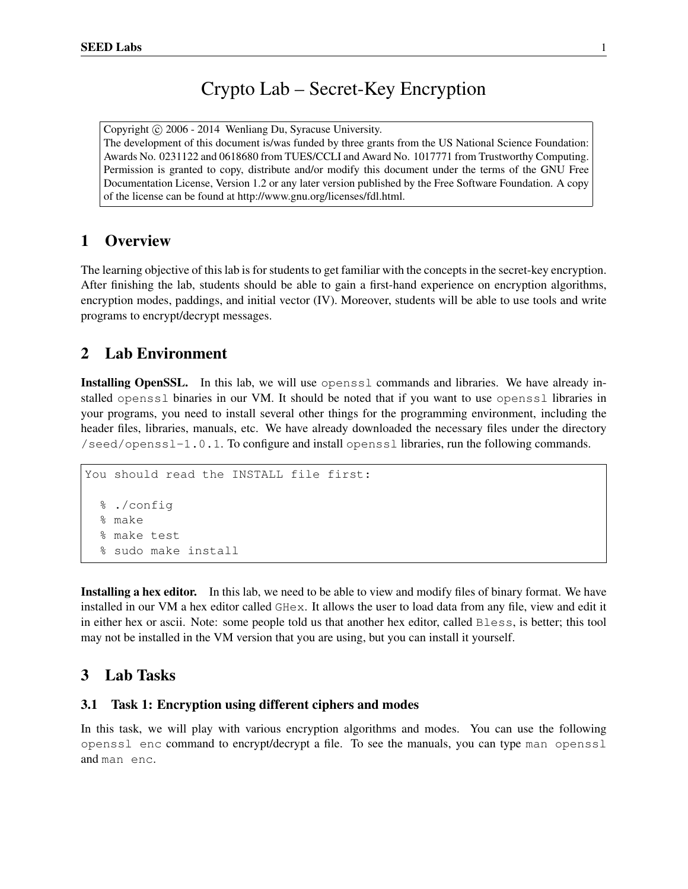# Crypto Lab – Secret-Key Encryption

Copyright © 2006 - 2014 Wenliang Du, Syracuse University. The development of this document is/was funded by three grants from the US National Science Foundation: Awards No. 0231122 and 0618680 from TUES/CCLI and Award No. 1017771 from Trustworthy Computing. Permission is granted to copy, distribute and/or modify this document under the terms of the GNU Free Documentation License, Version 1.2 or any later version published by the Free Software Foundation. A copy of the license can be found at http://www.gnu.org/licenses/fdl.html.

# 1 Overview

The learning objective of this lab is for students to get familiar with the concepts in the secret-key encryption. After finishing the lab, students should be able to gain a first-hand experience on encryption algorithms, encryption modes, paddings, and initial vector (IV). Moreover, students will be able to use tools and write programs to encrypt/decrypt messages.

# 2 Lab Environment

Installing OpenSSL. In this lab, we will use openssl commands and libraries. We have already installed openssl binaries in our VM. It should be noted that if you want to use openssl libraries in your programs, you need to install several other things for the programming environment, including the header files, libraries, manuals, etc. We have already downloaded the necessary files under the directory /seed/openssl-1.0.1. To configure and install openssl libraries, run the following commands.

```
You should read the INSTALL file first:
  % ./config
  % make
  % make test
  % sudo make install
```
Installing a hex editor. In this lab, we need to be able to view and modify files of binary format. We have installed in our VM a hex editor called GHex. It allows the user to load data from any file, view and edit it in either hex or ascii. Note: some people told us that another hex editor, called Bless, is better; this tool may not be installed in the VM version that you are using, but you can install it yourself.

# 3 Lab Tasks

#### 3.1 Task 1: Encryption using different ciphers and modes

In this task, we will play with various encryption algorithms and modes. You can use the following openssl enc command to encrypt/decrypt a file. To see the manuals, you can type man openssl and man enc.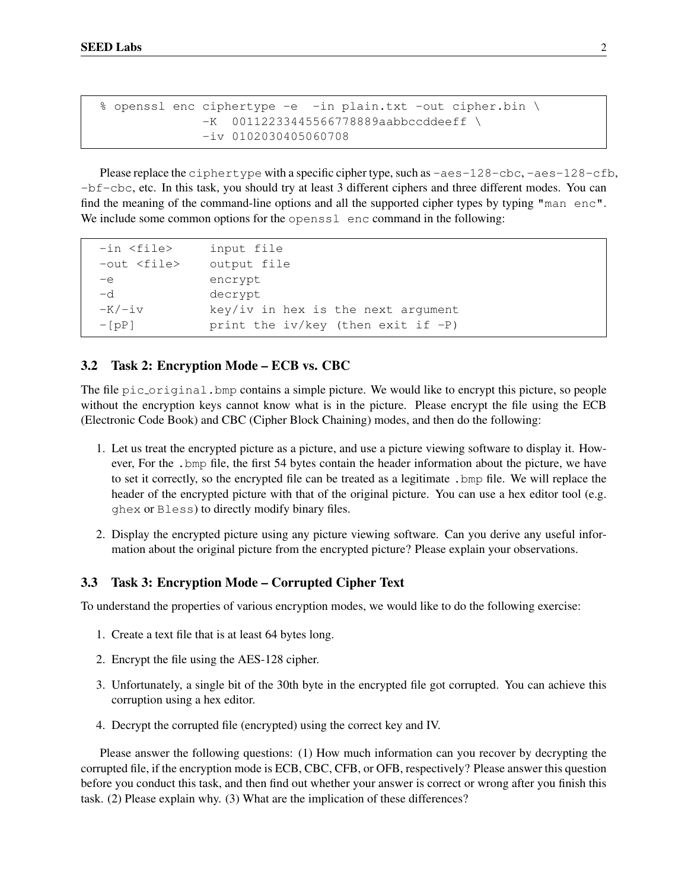```
% openssl enc ciphertype -e -in plain.txt -out cipher.bin \
             -K 00112233445566778889aabbccddeeff \
              -iv 0102030405060708
```
Please replace the ciphertype with a specific cipher type, such as  $-aes-128-cbc$ ,  $-aes-128-cfb$ , -bf-cbc, etc. In this task, you should try at least 3 different ciphers and three different modes. You can find the meaning of the command-line options and all the supported cipher types by typing "man enc". We include some common options for the opensslence command in the following:

```
-in <file> input file
-out <file> output file
-e encrypt
-d decrypt
-K/-iv key/iv in hex is the next argument
-[pP] print the iv/key (then exit if -P)
```
## 3.2 Task 2: Encryption Mode – ECB vs. CBC

The file pic original. bmp contains a simple picture. We would like to encrypt this picture, so people without the encryption keys cannot know what is in the picture. Please encrypt the file using the ECB (Electronic Code Book) and CBC (Cipher Block Chaining) modes, and then do the following:

- 1. Let us treat the encrypted picture as a picture, and use a picture viewing software to display it. However, For the .bmp file, the first 54 bytes contain the header information about the picture, we have to set it correctly, so the encrypted file can be treated as a legitimate .bmp file. We will replace the header of the encrypted picture with that of the original picture. You can use a hex editor tool (e.g. ghex or Bless) to directly modify binary files.
- 2. Display the encrypted picture using any picture viewing software. Can you derive any useful information about the original picture from the encrypted picture? Please explain your observations.

### 3.3 Task 3: Encryption Mode – Corrupted Cipher Text

To understand the properties of various encryption modes, we would like to do the following exercise:

- 1. Create a text file that is at least 64 bytes long.
- 2. Encrypt the file using the AES-128 cipher.
- 3. Unfortunately, a single bit of the 30th byte in the encrypted file got corrupted. You can achieve this corruption using a hex editor.
- 4. Decrypt the corrupted file (encrypted) using the correct key and IV.

Please answer the following questions: (1) How much information can you recover by decrypting the corrupted file, if the encryption mode is ECB, CBC, CFB, or OFB, respectively? Please answer this question before you conduct this task, and then find out whether your answer is correct or wrong after you finish this task. (2) Please explain why. (3) What are the implication of these differences?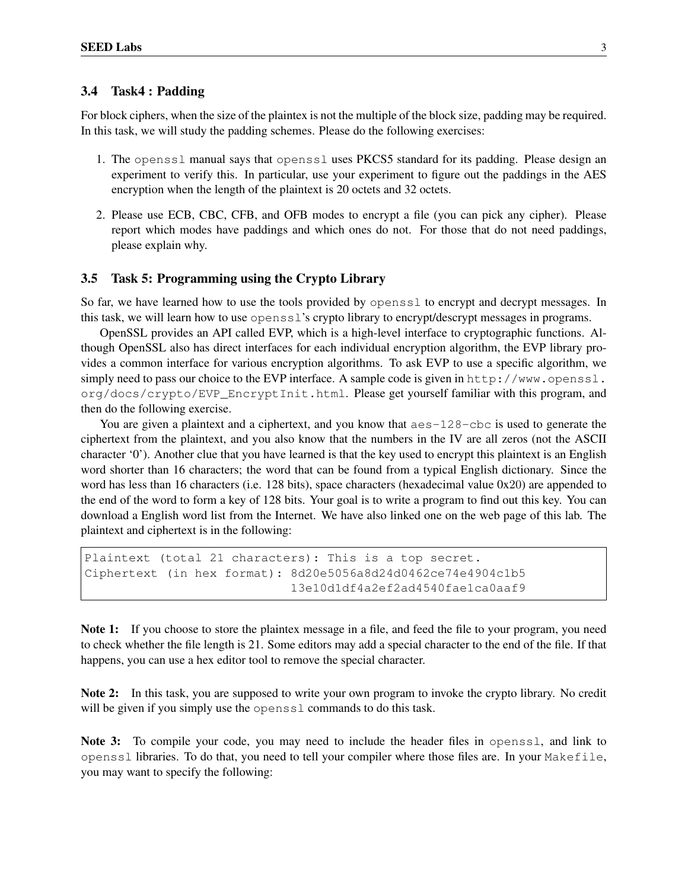### 3.4 Task4 : Padding

For block ciphers, when the size of the plaintex is not the multiple of the block size, padding may be required. In this task, we will study the padding schemes. Please do the following exercises:

- 1. The openssl manual says that openssl uses PKCS5 standard for its padding. Please design an experiment to verify this. In particular, use your experiment to figure out the paddings in the AES encryption when the length of the plaintext is 20 octets and 32 octets.
- 2. Please use ECB, CBC, CFB, and OFB modes to encrypt a file (you can pick any cipher). Please report which modes have paddings and which ones do not. For those that do not need paddings, please explain why.

### 3.5 Task 5: Programming using the Crypto Library

So far, we have learned how to use the tools provided by openssl to encrypt and decrypt messages. In this task, we will learn how to use openssl's crypto library to encrypt/descrypt messages in programs.

OpenSSL provides an API called EVP, which is a high-level interface to cryptographic functions. Although OpenSSL also has direct interfaces for each individual encryption algorithm, the EVP library provides a common interface for various encryption algorithms. To ask EVP to use a specific algorithm, we simply need to pass our choice to the EVP interface. A sample code is given in http://www.openssl. org/docs/crypto/EVP\_EncryptInit.html. Please get yourself familiar with this program, and then do the following exercise.

You are given a plaintext and a ciphertext, and you know that  $a \in s-128$  -cbc is used to generate the ciphertext from the plaintext, and you also know that the numbers in the IV are all zeros (not the ASCII character '0'). Another clue that you have learned is that the key used to encrypt this plaintext is an English word shorter than 16 characters; the word that can be found from a typical English dictionary. Since the word has less than 16 characters (i.e. 128 bits), space characters (hexadecimal value 0x20) are appended to the end of the word to form a key of 128 bits. Your goal is to write a program to find out this key. You can download a English word list from the Internet. We have also linked one on the web page of this lab. The plaintext and ciphertext is in the following:

```
Plaintext (total 21 characters): This is a top secret.
Ciphertext (in hex format): 8d20e5056a8d24d0462ce74e4904c1b5
                            13e10d1df4a2ef2ad4540fae1ca0aaf9
```
Note 1: If you choose to store the plaintex message in a file, and feed the file to your program, you need to check whether the file length is 21. Some editors may add a special character to the end of the file. If that happens, you can use a hex editor tool to remove the special character.

Note 2: In this task, you are supposed to write your own program to invoke the crypto library. No credit will be given if you simply use the openssl commands to do this task.

Note 3: To compile your code, you may need to include the header files in openssl, and link to openssl libraries. To do that, you need to tell your compiler where those files are. In your Makefile, you may want to specify the following: